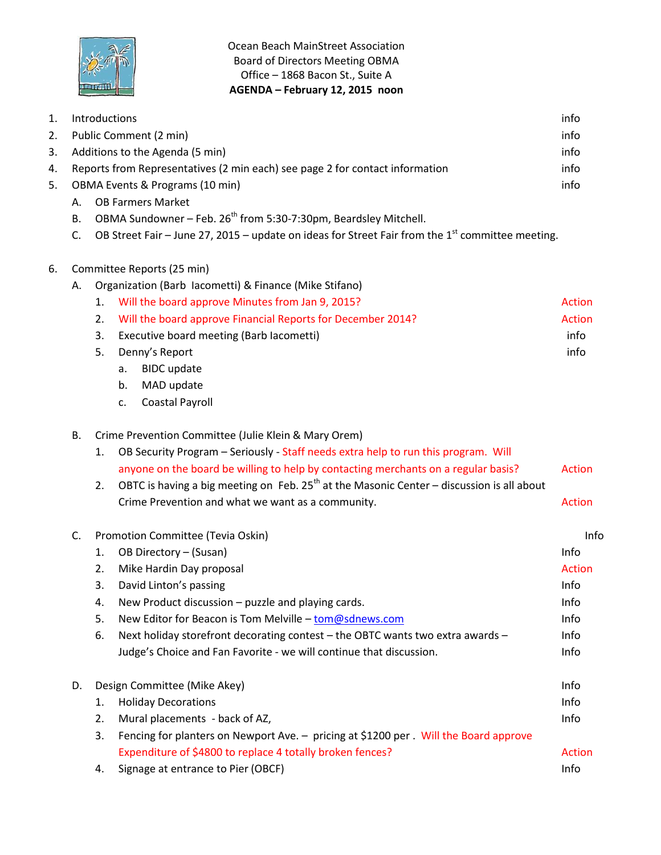

Ocean Beach MainStreet Association Board of Directors Meeting OBMA Office – 1868 Bacon St., Suite A **AGENDA – February 12, 2015 noon**

| 1. | Introductions                                                                             |                                                                                                              |                                                                                                | info          |
|----|-------------------------------------------------------------------------------------------|--------------------------------------------------------------------------------------------------------------|------------------------------------------------------------------------------------------------|---------------|
| 2. |                                                                                           |                                                                                                              | Public Comment (2 min)                                                                         | info          |
| 3. |                                                                                           | Additions to the Agenda (5 min)<br>info                                                                      |                                                                                                |               |
| 4. |                                                                                           | Reports from Representatives (2 min each) see page 2 for contact information<br>info                         |                                                                                                |               |
| 5. | OBMA Events & Programs (10 min)                                                           |                                                                                                              |                                                                                                | info          |
|    | <b>OB Farmers Market</b><br>А.                                                            |                                                                                                              |                                                                                                |               |
|    | OBMA Sundowner - Feb. 26 <sup>th</sup> from 5:30-7:30pm, Beardsley Mitchell.<br><b>B.</b> |                                                                                                              |                                                                                                |               |
|    | C.                                                                                        | OB Street Fair – June 27, 2015 – update on ideas for Street Fair from the 1 <sup>st</sup> committee meeting. |                                                                                                |               |
| 6. | Committee Reports (25 min)                                                                |                                                                                                              |                                                                                                |               |
|    | А.                                                                                        |                                                                                                              | Organization (Barb Iacometti) & Finance (Mike Stifano)                                         |               |
|    |                                                                                           | 1.                                                                                                           | Will the board approve Minutes from Jan 9, 2015?                                               | <b>Action</b> |
|    |                                                                                           | 2.                                                                                                           | Will the board approve Financial Reports for December 2014?                                    | <b>Action</b> |
|    |                                                                                           | 3.                                                                                                           | Executive board meeting (Barb lacometti)                                                       | info          |
|    |                                                                                           | 5.                                                                                                           | Denny's Report                                                                                 | info          |
|    |                                                                                           |                                                                                                              | <b>BIDC</b> update<br>a.                                                                       |               |
|    |                                                                                           |                                                                                                              | b.<br>MAD update                                                                               |               |
|    |                                                                                           |                                                                                                              | <b>Coastal Payroll</b><br>c.                                                                   |               |
|    | <b>B.</b><br>Crime Prevention Committee (Julie Klein & Mary Orem)                         |                                                                                                              |                                                                                                |               |
|    |                                                                                           | 1.                                                                                                           | OB Security Program - Seriously - Staff needs extra help to run this program. Will             |               |
|    |                                                                                           |                                                                                                              | anyone on the board be willing to help by contacting merchants on a regular basis?             | <b>Action</b> |
|    |                                                                                           | 2.                                                                                                           | OBTC is having a big meeting on Feb. $25^{th}$ at the Masonic Center – discussion is all about |               |
|    |                                                                                           |                                                                                                              | Crime Prevention and what we want as a community.                                              | Action        |
|    | C.                                                                                        |                                                                                                              | Promotion Committee (Tevia Oskin)                                                              | Info          |
|    |                                                                                           | 1.                                                                                                           | OB Directory - (Susan)                                                                         | Info          |
|    |                                                                                           | 2.                                                                                                           | Mike Hardin Day proposal                                                                       | <b>Action</b> |
|    |                                                                                           | 3.                                                                                                           | David Linton's passing                                                                         | Info          |
|    |                                                                                           | 4.                                                                                                           | New Product discussion - puzzle and playing cards.                                             | Info          |
|    |                                                                                           | 5.                                                                                                           | New Editor for Beacon is Tom Melville - tom@sdnews.com                                         | Info          |
|    |                                                                                           | 6.                                                                                                           | Next holiday storefront decorating contest - the OBTC wants two extra awards -                 | Info          |
|    |                                                                                           |                                                                                                              | Judge's Choice and Fan Favorite - we will continue that discussion.                            | Info          |
|    | D.                                                                                        | Design Committee (Mike Akey)                                                                                 |                                                                                                | Info          |
|    |                                                                                           | 1.                                                                                                           | <b>Holiday Decorations</b>                                                                     | Info          |
|    |                                                                                           | 2.                                                                                                           | Mural placements - back of AZ,                                                                 | Info          |
|    |                                                                                           | 3.                                                                                                           | Fencing for planters on Newport Ave. - pricing at \$1200 per. Will the Board approve           |               |
|    |                                                                                           |                                                                                                              | Expenditure of \$4800 to replace 4 totally broken fences?                                      | <b>Action</b> |
|    |                                                                                           | 4.                                                                                                           | Signage at entrance to Pier (OBCF)                                                             | Info          |